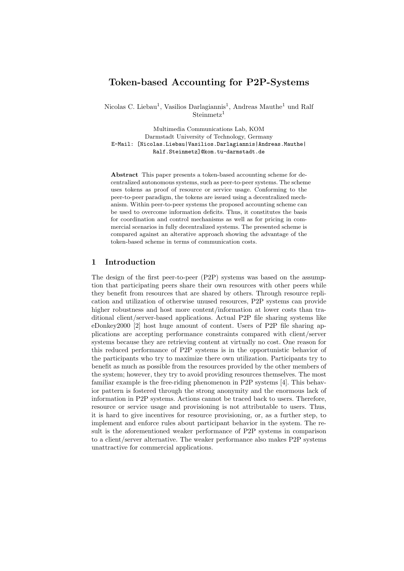# Token-based Accounting for P2P-Systems

Nicolas C. Liebau<sup>1</sup>, Vasilios Darlagiannis<sup>1</sup>, Andreas Mauthe<sup>1</sup> und Ralf Steinmetz<sup>1</sup>

Multimedia Communications Lab, KOM Darmstadt University of Technology, Germany E-Mail: [Nicolas.Liebau|Vasilios.Darlagiannis|Andreas.Mauthe| Ralf.Steinmetz]@kom.tu-darmstadt.de

Abstract This paper presents a token-based accounting scheme for decentralized autonomous systems, such as peer-to-peer systems. The scheme uses tokens as proof of resource or service usage. Conforming to the peer-to-peer paradigm, the tokens are issued using a decentralized mechanism. Within peer-to-peer systems the proposed accounting scheme can be used to overcome information deficits. Thus, it constitutes the basis for coordination and control mechanisms as well as for pricing in commercial scenarios in fully decentralized systems. The presented scheme is compared against an alterative approach showing the advantage of the token-based scheme in terms of communication costs.

### 1 Introduction

The design of the first peer-to-peer (P2P) systems was based on the assumption that participating peers share their own resources with other peers while they benefit from resources that are shared by others. Through resource replication and utilization of otherwise unused resources, P2P systems can provide higher robustness and host more content/information at lower costs than traditional client/server-based applications. Actual P2P file sharing systems like eDonkey2000 [2] host huge amount of content. Users of P2P file sharing applications are accepting performance constraints compared with client/server systems because they are retrieving content at virtually no cost. One reason for this reduced performance of P2P systems is in the opportunistic behavior of the participants who try to maximize there own utilization. Participants try to benefit as much as possible from the resources provided by the other members of the system; however, they try to avoid providing resources themselves. The most familiar example is the free-riding phenomenon in P2P systems [4]. This behavior pattern is fostered through the strong anonymity and the enormous lack of information in P2P systems. Actions cannot be traced back to users. Therefore, resource or service usage and provisioning is not attributable to users. Thus, it is hard to give incentives for resource provisioning, or, as a further step, to implement and enforce rules about participant behavior in the system. The result is the aforementioned weaker performance of P2P systems in comparison to a client/server alternative. The weaker performance also makes P2P systems unattractive for commercial applications.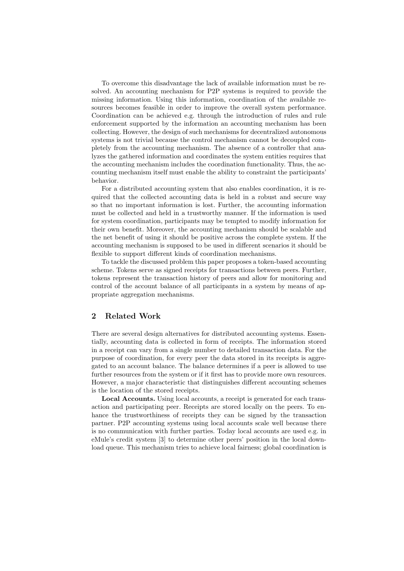To overcome this disadvantage the lack of available information must be resolved. An accounting mechanism for P2P systems is required to provide the missing information. Using this information, coordination of the available resources becomes feasible in order to improve the overall system performance. Coordination can be achieved e.g. through the introduction of rules and rule enforcement supported by the information an accounting mechanism has been collecting. However, the design of such mechanisms for decentralized autonomous systems is not trivial because the control mechanism cannot be decoupled completely from the accounting mechanism. The absence of a controller that analyzes the gathered information and coordinates the system entities requires that the accounting mechanism includes the coordination functionality. Thus, the accounting mechanism itself must enable the ability to constraint the participants' behavior.

For a distributed accounting system that also enables coordination, it is required that the collected accounting data is held in a robust and secure way so that no important information is lost. Further, the accounting information must be collected and held in a trustworthy manner. If the information is used for system coordination, participants may be tempted to modify information for their own benefit. Moreover, the accounting mechanism should be scalable and the net benefit of using it should be positive across the complete system. If the accounting mechanism is supposed to be used in different scenarios it should be flexible to support different kinds of coordination mechanisms.

To tackle the discussed problem this paper proposes a token-based accounting scheme. Tokens serve as signed receipts for transactions between peers. Further, tokens represent the transaction history of peers and allow for monitoring and control of the account balance of all participants in a system by means of appropriate aggregation mechanisms.

## 2 Related Work

There are several design alternatives for distributed accounting systems. Essentially, accounting data is collected in form of receipts. The information stored in a receipt can vary from a single number to detailed transaction data. For the purpose of coordination, for every peer the data stored in its receipts is aggregated to an account balance. The balance determines if a peer is allowed to use further resources from the system or if it first has to provide more own resources. However, a major characteristic that distinguishes different accounting schemes is the location of the stored receipts.

Local Accounts. Using local accounts, a receipt is generated for each transaction and participating peer. Receipts are stored locally on the peers. To enhance the trustworthiness of receipts they can be signed by the transaction partner. P2P accounting systems using local accounts scale well because there is no communication with further parties. Today local accounts are used e.g. in eMule's credit system [3] to determine other peers' position in the local download queue. This mechanism tries to achieve local fairness; global coordination is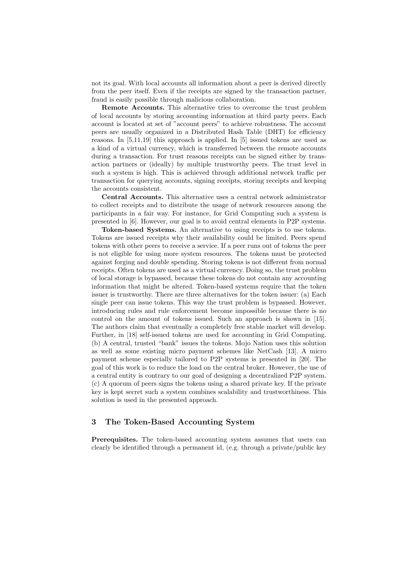not its goal. With local accounts all information about a peer is derived directly from the peer itself. Even if the receipts are signed by the transaction partner, fraud is easily possible through malicious collaboration.

Remote Accounts. This alternative tries to overcome the trust problem of local accounts by storing accounting information at third party peers. Each account is located at set of "account peers" to achieve robustness. The account peers are usually organized in a Distributed Hash Table (DHT) for efficiency reasons. In [5,11,19] this approach is applied. In [5] issued tokens are used as a kind of a virtual currency, which is transferred between the remote accounts during a transaction. For trust reasons receipts can be signed either by transaction partners or (ideally) by multiple trustworthy peers. The trust level in such a system is high. This is achieved through additional network traffic per transaction for querying accounts, signing receipts, storing receipts and keeping the accounts consistent.

Central Accounts. This alternative uses a central network administrator to collect receipts and to distribute the usage of network resources among the participants in a fair way. For instance, for Grid Computing such a system is presented in [6]. However, our goal is to avoid central elements in P2P systems.

Token-based Systems. An alternative to using receipts is to use tokens. Tokens are issued receipts why their availability could be limited. Peers spend tokens with other peers to receive a service. If a peer runs out of tokens the peer is not eligible for using more system resources. The tokens must be protected against forging and double spending. Storing tokens is not different from normal receipts. Often tokens are used as a virtual currency. Doing so, the trust problem of local storage is bypassed, because these tokens do not contain any accounting information that might be altered. Token-based systems require that the token issuer is trustworthy. There are three alternatives for the token issuer: (a) Each single peer can issue tokens. This way the trust problem is bypassed. However, introducing rules and rule enforcement become impossible because there is no control on the amount of tokens issued. Such an approach is shown in [15]. The authors claim that eventually a completely free stable market will develop. Further, in [18] self-issued tokens are used for accounting in Grid Computing. (b) A central, trusted "bank" issues the tokens. Mojo Nation uses this solution as well as some existing micro payment schemes like NetCash [13]. A micro payment scheme especially tailored to P2P systems is presented in [20]. The goal of this work is to reduce the load on the central broker. However, the use of a central entity is contrary to our goal of designing a decentralized P2P system. (c) A quorum of peers signs the tokens using a shared private key. If the private key is kept secret such a system combines scalability and trustworthiness. This solution is used in the presented approach.

## 3 The Token-Based Accounting System

Prerequisites. The token-based accounting system assumes that users can clearly be identified through a permanent id, (e.g. through a private/public key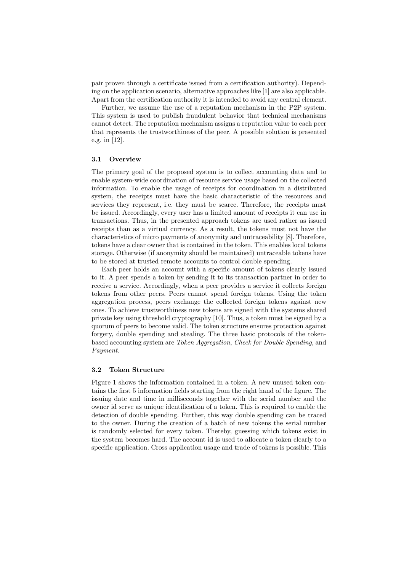pair proven through a certificate issued from a certification authority). Depending on the application scenario, alternative approaches like [1] are also applicable. Apart from the certification authority it is intended to avoid any central element.

Further, we assume the use of a reputation mechanism in the P2P system. This system is used to publish fraudulent behavior that technical mechanisms cannot detect. The reputation mechanism assigns a reputation value to each peer that represents the trustworthiness of the peer. A possible solution is presented e.g. in [12].

#### 3.1 Overview

The primary goal of the proposed system is to collect accounting data and to enable system-wide coordination of resource service usage based on the collected information. To enable the usage of receipts for coordination in a distributed system, the receipts must have the basic characteristic of the resources and services they represent, i.e. they must be scarce. Therefore, the receipts must be issued. Accordingly, every user has a limited amount of receipts it can use in transactions. Thus, in the presented approach tokens are used rather as issued receipts than as a virtual currency. As a result, the tokens must not have the characteristics of micro payments of anonymity and untraceability [8]. Therefore, tokens have a clear owner that is contained in the token. This enables local tokens storage. Otherwise (if anonymity should be maintained) untraceable tokens have to be stored at trusted remote accounts to control double spending.

Each peer holds an account with a specific amount of tokens clearly issued to it. A peer spends a token by sending it to its transaction partner in order to receive a service. Accordingly, when a peer provides a service it collects foreign tokens from other peers. Peers cannot spend foreign tokens. Using the token aggregation process, peers exchange the collected foreign tokens against new ones. To achieve trustworthiness new tokens are signed with the systems shared private key using threshold cryptography [10]. Thus, a token must be signed by a quorum of peers to become valid. The token structure ensures protection against forgery, double spending and stealing. The three basic protocols of the tokenbased accounting system are Token Aggregation, Check for Double Spending, and Payment.

## 3.2 Token Structure

Figure 1 shows the information contained in a token. A new unused token contains the first 5 information fields starting from the right hand of the figure. The issuing date and time in milliseconds together with the serial number and the owner id serve as unique identification of a token. This is required to enable the detection of double spending. Further, this way double spending can be traced to the owner. During the creation of a batch of new tokens the serial number is randomly selected for every token. Thereby, guessing which tokens exist in the system becomes hard. The account id is used to allocate a token clearly to a specific application. Cross application usage and trade of tokens is possible. This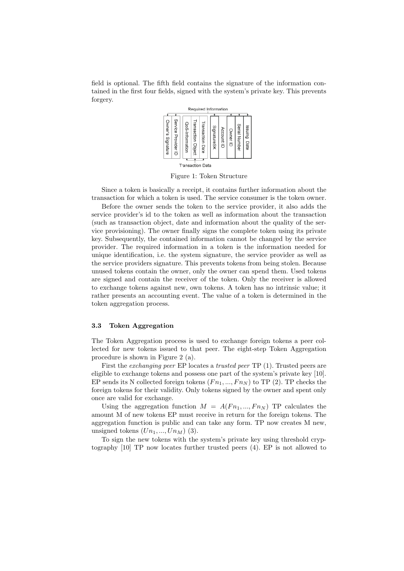field is optional. The fifth field contains the signature of the information contained in the first four fields, signed with the system's private key. This prevents forgery.



Figure 1: Token Structure

Since a token is basically a receipt, it contains further information about the transaction for which a token is used. The service consumer is the token owner.

Before the owner sends the token to the service provider, it also adds the service provider's id to the token as well as information about the transaction (such as transaction object, date and information about the quality of the service provisioning). The owner finally signs the complete token using its private key. Subsequently, the contained information cannot be changed by the service provider. The required information in a token is the information needed for unique identification, i.e. the system signature, the service provider as well as the service providers signature. This prevents tokens from being stolen. Because unused tokens contain the owner, only the owner can spend them. Used tokens are signed and contain the receiver of the token. Only the receiver is allowed to exchange tokens against new, own tokens. A token has no intrinsic value; it rather presents an accounting event. The value of a token is determined in the token aggregation process.

#### 3.3 Token Aggregation

The Token Aggregation process is used to exchange foreign tokens a peer collected for new tokens issued to that peer. The eight-step Token Aggregation procedure is shown in Figure 2 (a).

First the exchanging peer EP locates a trusted peer TP (1). Trusted peers are eligible to exchange tokens and possess one part of the system's private key [10]. EP sends its N collected foreign tokens  $(Fn_1, ..., Fn_N)$  to TP (2). TP checks the foreign tokens for their validity. Only tokens signed by the owner and spent only once are valid for exchange.

Using the aggregation function  $M = A(F_{n_1},...,F_{n_N})$  TP calculates the amount M of new tokens EP must receive in return for the foreign tokens. The aggregation function is public and can take any form. TP now creates M new, unsigned tokens  $(Un_1, ..., Un_M)$  (3).

To sign the new tokens with the system's private key using threshold cryptography [10] TP now locates further trusted peers (4). EP is not allowed to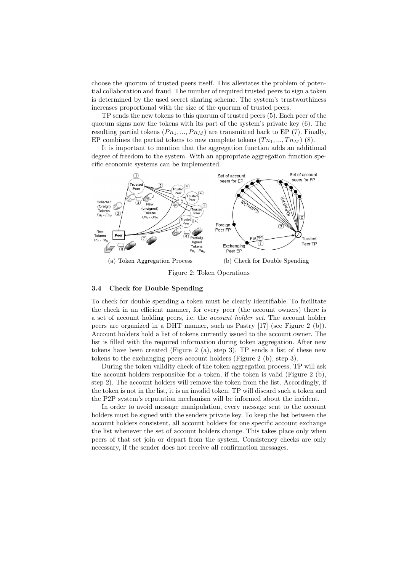choose the quorum of trusted peers itself. This alleviates the problem of potential collaboration and fraud. The number of required trusted peers to sign a token is determined by the used secret sharing scheme. The system's trustworthiness increases proportional with the size of the quorum of trusted peers.

TP sends the new tokens to this quorum of trusted peers (5). Each peer of the quorum signs now the tokens with its part of the system's private key (6). The resulting partial tokens  $(Pn_1, ..., Pn_M)$  are transmitted back to EP (7). Finally, EP combines the partial tokens to new complete tokens  $(Tn_1, ..., Tn_M)$  (8).

It is important to mention that the aggregation function adds an additional degree of freedom to the system. With an appropriate aggregation function specific economic systems can be implemented.



Figure 2: Token Operations

### 3.4 Check for Double Spending

To check for double spending a token must be clearly identifiable. To facilitate the check in an efficient manner, for every peer (the account owners) there is a set of account holding peers, i.e. the account holder set. The account holder peers are organized in a DHT manner, such as Pastry [17] (see Figure 2 (b)). Account holders hold a list of tokens currently issued to the account owner. The list is filled with the required information during token aggregation. After new tokens have been created (Figure 2 (a), step 3), TP sends a list of these new tokens to the exchanging peers account holders (Figure 2 (b), step 3).

During the token validity check of the token aggregation process, TP will ask the account holders responsible for a token, if the token is valid (Figure 2 (b), step 2). The account holders will remove the token from the list. Accordingly, if the token is not in the list, it is an invalid token. TP will discard such a token and the P2P system's reputation mechanism will be informed about the incident.

In order to avoid message manipulation, every message sent to the account holders must be signed with the senders private key. To keep the list between the account holders consistent, all account holders for one specific account exchange the list whenever the set of account holders change. This takes place only when peers of that set join or depart from the system. Consistency checks are only necessary, if the sender does not receive all confirmation messages.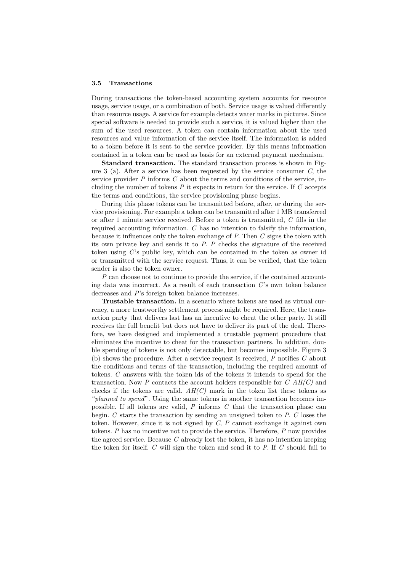#### 3.5 Transactions

During transactions the token-based accounting system accounts for resource usage, service usage, or a combination of both. Service usage is valued differently than resource usage. A service for example detects water marks in pictures. Since special software is needed to provide such a service, it is valued higher than the sum of the used resources. A token can contain information about the used resources and value information of the service itself. The information is added to a token before it is sent to the service provider. By this means information contained in a token can be used as basis for an external payment mechanism.

Standard transaction. The standard transaction process is shown in Figure  $3$  (a). After a service has been requested by the service consumer  $C$ , the service provider  $P$  informs  $C$  about the terms and conditions of the service, including the number of tokens  $P$  it expects in return for the service. If  $C$  accepts the terms and conditions, the service provisioning phase begins.

During this phase tokens can be transmitted before, after, or during the service provisioning. For example a token can be transmitted after 1 MB transferred or after 1 minute service received. Before a token is transmitted, C fills in the required accounting information.  $C$  has no intention to falsify the information, because it influences only the token exchange of  $P$ . Then  $C$  signs the token with its own private key and sends it to  $P$ .  $P$  checks the signature of the received token using  $C$ 's public key, which can be contained in the token as owner id or transmitted with the service request. Thus, it can be verified, that the token sender is also the token owner.

P can choose not to continue to provide the service, if the contained accounting data was incorrect. As a result of each transaction  $C$ 's own token balance decreases and P's foreign token balance increases.

Trustable transaction. In a scenario where tokens are used as virtual currency, a more trustworthy settlement process might be required. Here, the transaction party that delivers last has an incentive to cheat the other party. It still receives the full benefit but does not have to deliver its part of the deal. Therefore, we have designed and implemented a trustable payment procedure that eliminates the incentive to cheat for the transaction partners. In addition, double spending of tokens is not only detectable, but becomes impossible. Figure 3 (b) shows the procedure. After a service request is received, P notifies C about the conditions and terms of the transaction, including the required amount of tokens. C answers with the token ids of the tokens it intends to spend for the transaction. Now P contacts the account holders responsible for  $C A H(C)$  and checks if the tokens are valid.  $AH(C)$  mark in the token list these tokens as "*planned to spend*". Using the same tokens in another transaction becomes impossible. If all tokens are valid,  $P$  informs  $C$  that the transaction phase can begin. C starts the transaction by sending an unsigned token to P. C loses the token. However, since it is not signed by  $C, P$  cannot exchange it against own tokens. P has no incentive not to provide the service. Therefore, P now provides the agreed service. Because  $C$  already lost the token, it has no intention keeping the token for itself. C will sign the token and send it to P. If C should fail to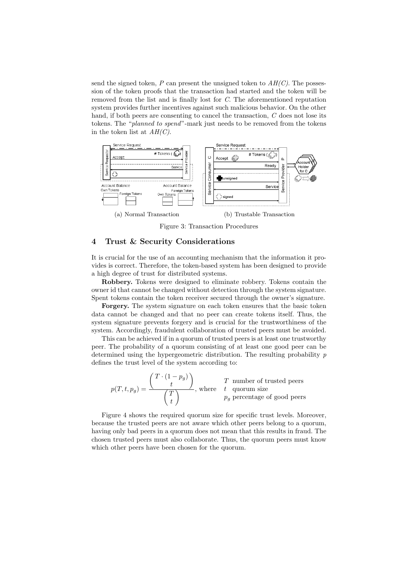send the signed token, P can present the unsigned token to  $AH(C)$ . The possession of the token proofs that the transaction had started and the token will be removed from the list and is finally lost for C. The aforementioned reputation system provides further incentives against such malicious behavior. On the other hand, if both peers are consenting to cancel the transaction, C does not lose its tokens. The "*planned to spend*"-mark just needs to be removed from the tokens in the token list at  $AH(C)$ .



Figure 3: Transaction Procedures

### 4 Trust & Security Considerations

It is crucial for the use of an accounting mechanism that the information it provides is correct. Therefore, the token-based system has been designed to provide a high degree of trust for distributed systems.

Robbery. Tokens were designed to eliminate robbery. Tokens contain the owner id that cannot be changed without detection through the system signature. Spent tokens contain the token receiver secured through the owner's signature.

Forgery. The system signature on each token ensures that the basic token data cannot be changed and that no peer can create tokens itself. Thus, the system signature prevents forgery and is crucial for the trustworthiness of the system. Accordingly, fraudulent collaboration of trusted peers must be avoided.

This can be achieved if in a quorum of trusted peers is at least one trustworthy peer. The probability of a quorum consisting of at least one good peer can be determined using the hypergeometric distribution. The resulting probability  $p$ defines the trust level of the system according to:

$$
p(T, t, p_g) = \frac{\begin{pmatrix} T \cdot (1 - p_g) \\ t \end{pmatrix}}{\begin{pmatrix} T \\ t \end{pmatrix}}, \text{ where } \begin{pmatrix} T \\ t \end{pmatrix} \text{ number of trusted peers} \quad p_g \text{ percentage of good peers}
$$

Figure 4 shows the required quorum size for specific trust levels. Moreover, because the trusted peers are not aware which other peers belong to a quorum, having only bad peers in a quorum does not mean that this results in fraud. The chosen trusted peers must also collaborate. Thus, the quorum peers must know which other peers have been chosen for the quorum.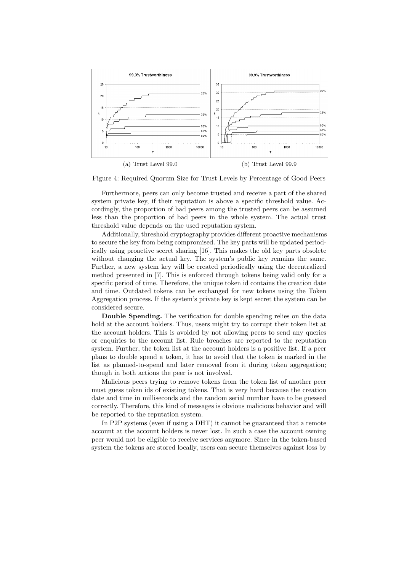

Figure 4: Required Quorum Size for Trust Levels by Percentage of Good Peers

Furthermore, peers can only become trusted and receive a part of the shared system private key, if their reputation is above a specific threshold value. Accordingly, the proportion of bad peers among the trusted peers can be assumed less than the proportion of bad peers in the whole system. The actual trust threshold value depends on the used reputation system.

Additionally, threshold cryptography provides different proactive mechanisms to secure the key from being compromised. The key parts will be updated periodically using proactive secret sharing [16]. This makes the old key parts obsolete without changing the actual key. The system's public key remains the same. Further, a new system key will be created periodically using the decentralized method presented in [7]. This is enforced through tokens being valid only for a specific period of time. Therefore, the unique token id contains the creation date and time. Outdated tokens can be exchanged for new tokens using the Token Aggregation process. If the system's private key is kept secret the system can be considered secure.

Double Spending. The verification for double spending relies on the data hold at the account holders. Thus, users might try to corrupt their token list at the account holders. This is avoided by not allowing peers to send any queries or enquiries to the account list. Rule breaches are reported to the reputation system. Further, the token list at the account holders is a positive list. If a peer plans to double spend a token, it has to avoid that the token is marked in the list as planned-to-spend and later removed from it during token aggregation; though in both actions the peer is not involved.

Malicious peers trying to remove tokens from the token list of another peer must guess token ids of existing tokens. That is very hard because the creation date and time in milliseconds and the random serial number have to be guessed correctly. Therefore, this kind of messages is obvious malicious behavior and will be reported to the reputation system.

In P2P systems (even if using a DHT) it cannot be guaranteed that a remote account at the account holders is never lost. In such a case the account owning peer would not be eligible to receive services anymore. Since in the token-based system the tokens are stored locally, users can secure themselves against loss by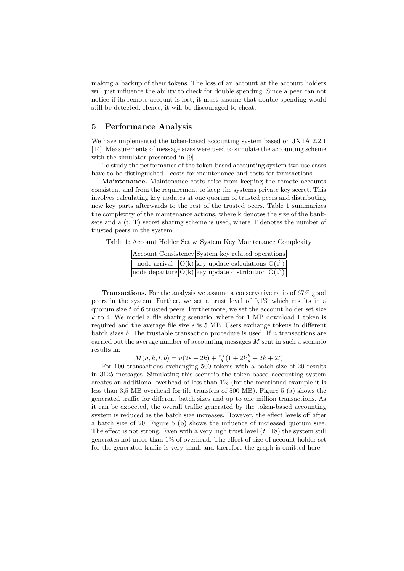making a backup of their tokens. The loss of an account at the account holders will just influence the ability to check for double spending. Since a peer can not notice if its remote account is lost, it must assume that double spending would still be detected. Hence, it will be discouraged to cheat.

## 5 Performance Analysis

We have implemented the token-based accounting system based on JXTA 2.2.1 [14]. Measurements of message sizes were used to simulate the accounting scheme with the simulator presented in [9].

To study the performance of the token-based accounting system two use cases have to be distinguished - costs for maintenance and costs for transactions.

Maintenance. Maintenance costs arise from keeping the remote accounts consistent and from the requirement to keep the systems private key secret. This involves calculating key updates at one quorum of trusted peers and distributing new key parts afterwards to the rest of the trusted peers. Table 1 summarizes the complexity of the maintenance actions, where k denotes the size of the banksets and a  $(t, T)$  secret sharing scheme is used, where T denotes the number of trusted peers in the system.

Table 1: Account Holder Set & System Key Maintenance Complexity

|                                                                        | Account Consistency System key related operations |  |  |  |
|------------------------------------------------------------------------|---------------------------------------------------|--|--|--|
| node arrival $\boxed{O(k)$ key update calculations $\boxed{O(t^2)}$    |                                                   |  |  |  |
| node departure $\boxed{O(k)}$ key update distribution $\boxed{O(t^2)}$ |                                                   |  |  |  |

Transactions. For the analysis we assume a conservative ratio of 67% good peers in the system. Further, we set a trust level of 0,1% which results in a quorum size  $t$  of 6 trusted peers. Furthermore, we set the account holder set size k to 4. We model a file sharing scenario, where for 1 MB download 1 token is required and the average file size  $s$  is 5 MB. Users exchange tokens in different batch sizes  $b$ . The trustable transaction procedure is used. If  $n$  transactions are carried out the average number of accounting messages  $M$  sent in such a scenario results in:

 $M(n, k, t, b) = n(2s + 2k) + \frac{ns}{b}(1 + 2k\frac{b}{s} + 2k + 2t)$ 

For 100 transactions exchanging 500 tokens with a batch size of 20 results in 3125 messages. Simulating this scenario the token-based accounting system creates an additional overhead of less than 1% (for the mentioned example it is less than 3,5 MB overhead for file transfers of 500 MB). Figure 5 (a) shows the generated traffic for different batch sizes and up to one million transactions. As it can be expected, the overall traffic generated by the token-based accounting system is reduced as the batch size increases. However, the effect levels off after a batch size of 20. Figure 5 (b) shows the influence of increased quorum size. The effect is not strong. Even with a very high trust level  $(t=18)$  the system still generates not more than 1% of overhead. The effect of size of account holder set for the generated traffic is very small and therefore the graph is omitted here.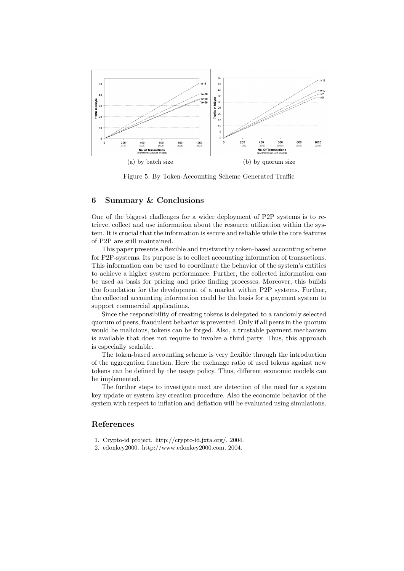

Figure 5: By Token-Accounting Scheme Generated Traffic

## 6 Summary & Conclusions

One of the biggest challenges for a wider deployment of P2P systems is to retrieve, collect and use information about the resource utilization within the system. It is crucial that the information is secure and reliable while the core features of P2P are still maintained.

This paper presents a flexible and trustworthy token-based accounting scheme for P2P-systems. Its purpose is to collect accounting information of transactions. This information can be used to coordinate the behavior of the system's entities to achieve a higher system performance. Further, the collected information can be used as basis for pricing and price finding processes. Moreover, this builds the foundation for the development of a market within P2P systems. Further, the collected accounting information could be the basis for a payment system to support commercial applications.

Since the responsibility of creating tokens is delegated to a randomly selected quorum of peers, fraudulent behavior is prevented. Only if all peers in the quorum would be malicious, tokens can be forged. Also, a trustable payment mechanism is available that does not require to involve a third party. Thus, this approach is especially scalable.

The token-based accounting scheme is very flexible through the introduction of the aggregation function. Here the exchange ratio of used tokens against new tokens can be defined by the usage policy. Thus, different economic models can be implemented.

The further steps to investigate next are detection of the need for a system key update or system key creation procedure. Also the economic behavior of the system with respect to inflation and deflation will be evaluated using simulations.

### References

- 1. Crypto-id project. http://crypto-id.jxta.org/, 2004.
- 2. edonkey2000. http://www.edonkey2000.com, 2004.